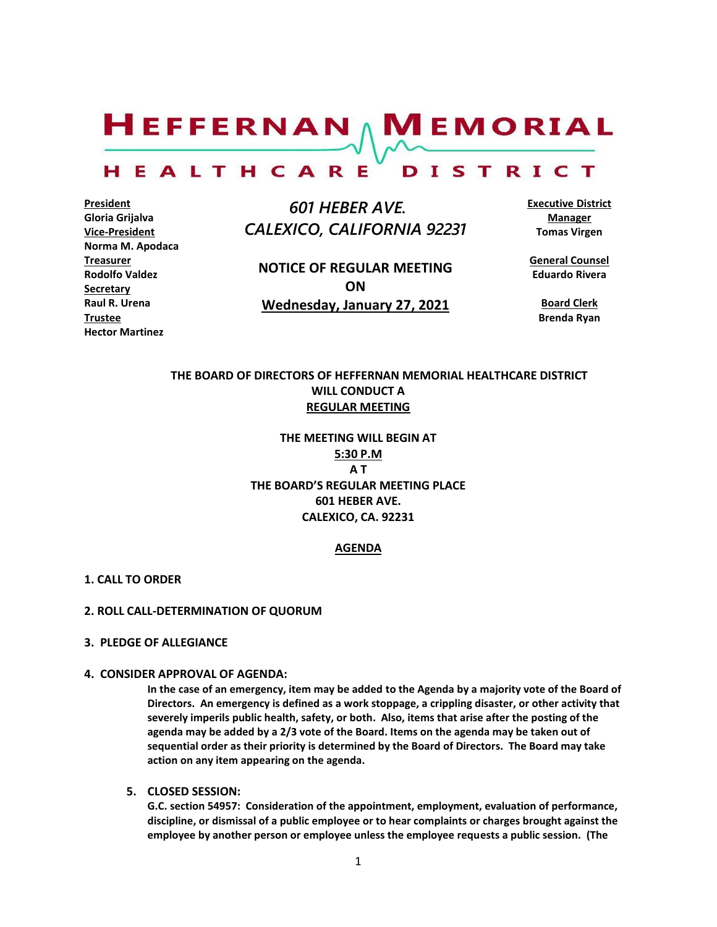# $H$ EFFERNAN  $\wedge$  M EMORIAL

#### HEALTHCARE DISTRICT

**President Gloria Grijalva Vice-President Norma M. Apodaca Treasurer Rodolfo Valdez Secretary Raul R. Urena Trustee Hector Martinez**

 *601 HEBER AVE. CALEXICO, CALIFORNIA 92231*

**NOTICE OF REGULAR MEETING ON Wednesday, January 27, 2021**

**Executive District Manager Tomas Virgen**

**General Counsel Eduardo Rivera**

**Board Clerk Brenda Ryan**

# **THE BOARD OF DIRECTORS OF HEFFERNAN MEMORIAL HEALTHCARE DISTRICT WILL CONDUCT A REGULAR MEETING**

**THE MEETING WILL BEGIN AT 5:30 P.M A T THE BOARD'S REGULAR MEETING PLACE 601 HEBER AVE. CALEXICO, CA. 92231**

# **AGENDA**

# **1. CALL TO ORDER**

### **2. ROLL CALL-DETERMINATION OF QUORUM**

### **3. PLEDGE OF ALLEGIANCE**

# **4. CONSIDER APPROVAL OF AGENDA:**

**In the case of an emergency, item may be added to the Agenda by a majority vote of the Board of Directors. An emergency is defined as a work stoppage, a crippling disaster, or other activity that severely imperils public health, safety, or both. Also, items that arise after the posting of the agenda may be added by a 2/3 vote of the Board. Items on the agenda may be taken out of sequential order as their priority is determined by the Board of Directors. The Board may take action on any item appearing on the agenda.**

**5. CLOSED SESSION:** 

**G.C. section 54957: Consideration of the appointment, employment, evaluation of performance, discipline, or dismissal of a public employee or to hear complaints or charges brought against the employee by another person or employee unless the employee requests a public session. (The**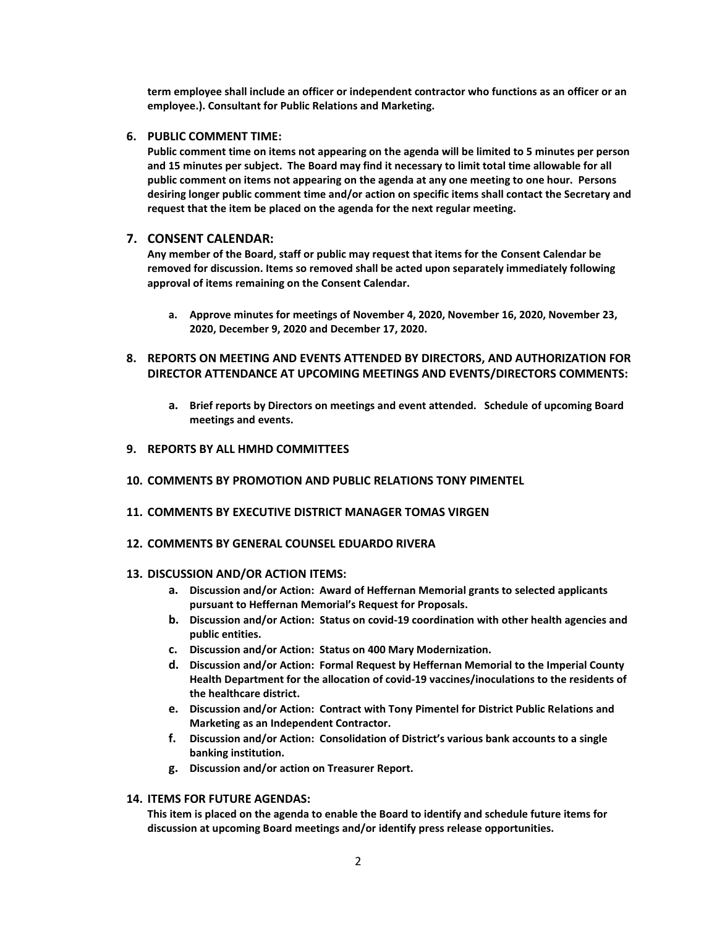**term employee shall include an officer or independent contractor who functions as an officer or an employee.). Consultant for Public Relations and Marketing.**

#### **6. PUBLIC COMMENT TIME:**

**Public comment time on items not appearing on the agenda will be limited to 5 minutes per person and 15 minutes per subject. The Board may find it necessary to limit total time allowable for all public comment on items not appearing on the agenda at any one meeting to one hour. Persons desiring longer public comment time and/or action on specific items shall contact the Secretary and request that the item be placed on the agenda for the next regular meeting.**

### **7. CONSENT CALENDAR:**

**Any member of the Board, staff or public may request that items for the Consent Calendar be removed for discussion. Items so removed shall be acted upon separately immediately following approval of items remaining on the Consent Calendar.**

- **a. Approve minutes for meetings of November 4, 2020, November 16, 2020, November 23, 2020, December 9, 2020 and December 17, 2020.**
- **8. REPORTS ON MEETING AND EVENTS ATTENDED BY DIRECTORS, AND AUTHORIZATION FOR DIRECTOR ATTENDANCE AT UPCOMING MEETINGS AND EVENTS/DIRECTORS COMMENTS:**
	- **a. Brief reports by Directors on meetings and event attended. Schedule of upcoming Board meetings and events.**
- **9. REPORTS BY ALL HMHD COMMITTEES**
- **10. COMMENTS BY PROMOTION AND PUBLIC RELATIONS TONY PIMENTEL**
- **11. COMMENTS BY EXECUTIVE DISTRICT MANAGER TOMAS VIRGEN**
- **12. COMMENTS BY GENERAL COUNSEL EDUARDO RIVERA**

#### **13. DISCUSSION AND/OR ACTION ITEMS:**

- **a. Discussion and/or Action: Award of Heffernan Memorial grants to selected applicants pursuant to Heffernan Memorial's Request for Proposals.**
- **b. Discussion and/or Action: Status on covid-19 coordination with other health agencies and public entities.**
- **c. Discussion and/or Action: Status on 400 Mary Modernization.**
- **d. Discussion and/or Action: Formal Request by Heffernan Memorial to the Imperial County Health Department for the allocation of covid-19 vaccines/inoculations to the residents of the healthcare district.**
- **e. Discussion and/or Action: Contract with Tony Pimentel for District Public Relations and Marketing as an Independent Contractor.**
- **f. Discussion and/or Action: Consolidation of District's various bank accounts to a single banking institution.**
- **g. Discussion and/or action on Treasurer Report.**

# **14. ITEMS FOR FUTURE AGENDAS:**

**This item is placed on the agenda to enable the Board to identify and schedule future items for discussion at upcoming Board meetings and/or identify press release opportunities.**